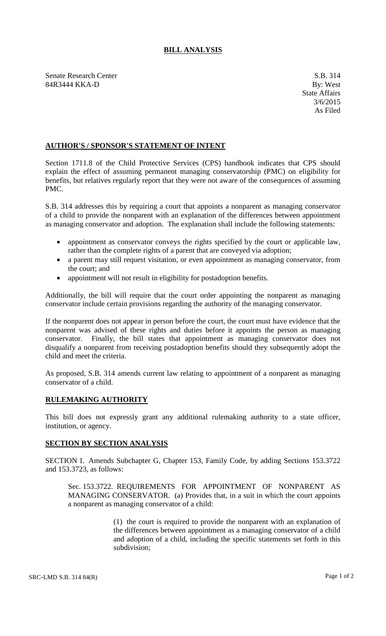## **BILL ANALYSIS**

Senate Research Center S.B. 314 84R3444 KKA-D By: West

## **AUTHOR'S / SPONSOR'S STATEMENT OF INTENT**

Section 1711.8 of the Child Protective Services (CPS) handbook indicates that CPS should explain the effect of assuming permanent managing conservatorship (PMC) on eligibility for benefits, but relatives regularly report that they were not aware of the consequences of assuming PMC.

S.B. 314 addresses this by requiring a court that appoints a nonparent as managing conservator of a child to provide the nonparent with an explanation of the differences between appointment as managing conservator and adoption. The explanation shall include the following statements:

- appointment as conservator conveys the rights specified by the court or applicable law, rather than the complete rights of a parent that are conveyed via adoption;
- a parent may still request visitation, or even appointment as managing conservator, from the court; and
- appointment will not result in eligibility for postadoption benefits.

Additionally, the bill will require that the court order appointing the nonparent as managing conservator include certain provisions regarding the authority of the managing conservator.

If the nonparent does not appear in person before the court, the court must have evidence that the nonparent was advised of these rights and duties before it appoints the person as managing conservator. Finally, the bill states that appointment as managing conservator does not disqualify a nonparent from receiving postadoption benefits should they subsequently adopt the child and meet the criteria.

As proposed, S.B. 314 amends current law relating to appointment of a nonparent as managing conservator of a child.

## **RULEMAKING AUTHORITY**

This bill does not expressly grant any additional rulemaking authority to a state officer, institution, or agency.

## **SECTION BY SECTION ANALYSIS**

SECTION 1. Amends Subchapter G, Chapter 153, Family Code, by adding Sections 153.3722 and 153.3723, as follows:

Sec. 153.3722. REQUIREMENTS FOR APPOINTMENT OF NONPARENT AS MANAGING CONSERVATOR. (a) Provides that, in a suit in which the court appoints a nonparent as managing conservator of a child:

> (1) the court is required to provide the nonparent with an explanation of the differences between appointment as a managing conservator of a child and adoption of a child, including the specific statements set forth in this subdivision;